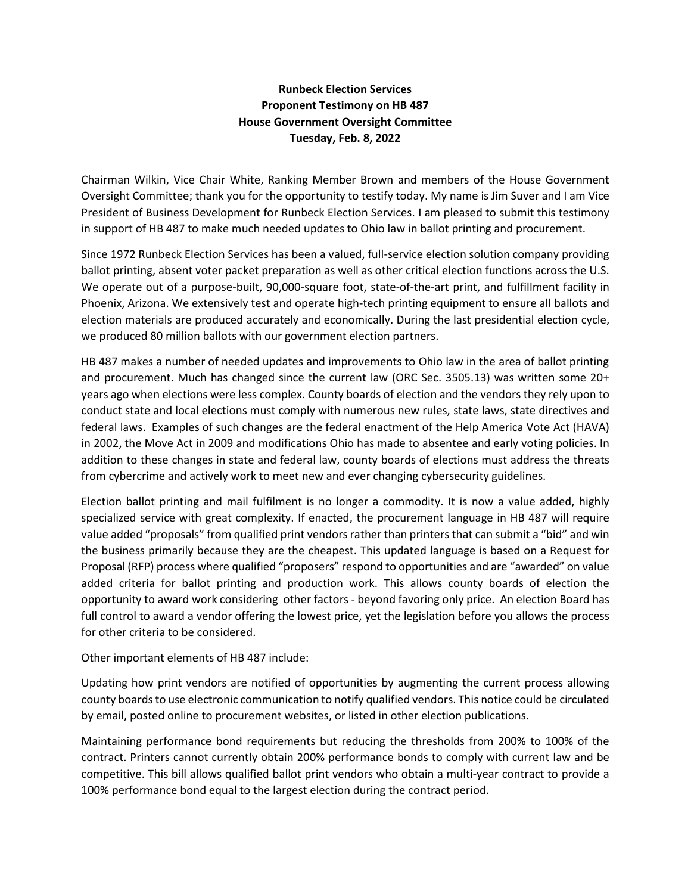## **Runbeck Election Services Proponent Testimony on HB 487 House Government Oversight Committee Tuesday, Feb. 8, 2022**

Chairman Wilkin, Vice Chair White, Ranking Member Brown and members of the House Government Oversight Committee; thank you for the opportunity to testify today. My name is Jim Suver and I am Vice President of Business Development for Runbeck Election Services. I am pleased to submit this testimony in support of HB 487 to make much needed updates to Ohio law in ballot printing and procurement.

Since 1972 Runbeck Election Services has been a valued, full-service election solution company providing ballot printing, absent voter packet preparation as well as other critical election functions across the U.S. We operate out of a purpose-built, 90,000-square foot, state-of-the-art print, and fulfillment facility in Phoenix, Arizona. We extensively test and operate high-tech printing equipment to ensure all ballots and election materials are produced accurately and economically. During the last presidential election cycle, we produced 80 million ballots with our government election partners.

HB 487 makes a number of needed updates and improvements to Ohio law in the area of ballot printing and procurement. Much has changed since the current law (ORC Sec. 3505.13) was written some 20+ years ago when elections were less complex. County boards of election and the vendors they rely upon to conduct state and local elections must comply with numerous new rules, state laws, state directives and federal laws. Examples of such changes are the federal enactment of the Help America Vote Act (HAVA) in 2002, the Move Act in 2009 and modifications Ohio has made to absentee and early voting policies. In addition to these changes in state and federal law, county boards of elections must address the threats from cybercrime and actively work to meet new and ever changing cybersecurity guidelines.

Election ballot printing and mail fulfilment is no longer a commodity. It is now a value added, highly specialized service with great complexity. If enacted, the procurement language in HB 487 will require value added "proposals" from qualified print vendors rather than printers that can submit a "bid" and win the business primarily because they are the cheapest. This updated language is based on a Request for Proposal (RFP) process where qualified "proposers" respond to opportunities and are "awarded" on value added criteria for ballot printing and production work. This allows county boards of election the opportunity to award work considering other factors - beyond favoring only price. An election Board has full control to award a vendor offering the lowest price, yet the legislation before you allows the process for other criteria to be considered.

Other important elements of HB 487 include:

Updating how print vendors are notified of opportunities by augmenting the current process allowing county boards to use electronic communication to notify qualified vendors. This notice could be circulated by email, posted online to procurement websites, or listed in other election publications.

Maintaining performance bond requirements but reducing the thresholds from 200% to 100% of the contract. Printers cannot currently obtain 200% performance bonds to comply with current law and be competitive. This bill allows qualified ballot print vendors who obtain a multi-year contract to provide a 100% performance bond equal to the largest election during the contract period.